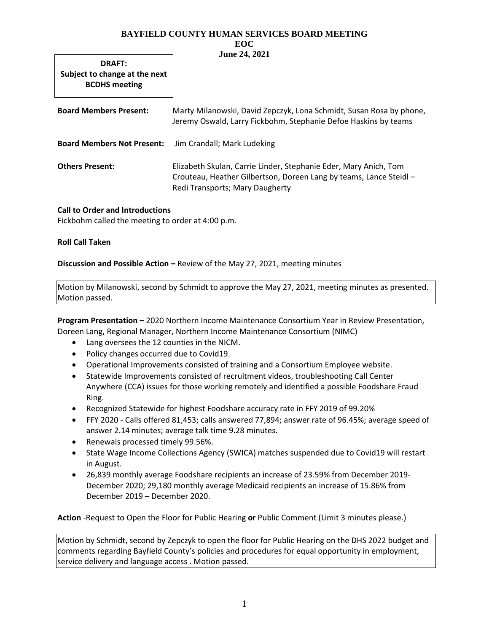**DRAFT: Subject to change at the next BCDHS meeting**

| <b>Board Members Present:</b>                                 | Marty Milanowski, David Zepczyk, Lona Schmidt, Susan Rosa by phone,<br>Jeremy Oswald, Larry Fickbohm, Stephanie Defoe Haskins by teams                                    |
|---------------------------------------------------------------|---------------------------------------------------------------------------------------------------------------------------------------------------------------------------|
| <b>Board Members Not Present:</b> Jim Crandall; Mark Ludeking |                                                                                                                                                                           |
| <b>Others Present:</b>                                        | Elizabeth Skulan, Carrie Linder, Stephanie Eder, Mary Anich, Tom<br>Crouteau, Heather Gilbertson, Doreen Lang by teams, Lance Steidl -<br>Redi Transports; Mary Daugherty |

# **Call to Order and Introductions**

Fickbohm called the meeting to order at 4:00 p.m.

# **Roll Call Taken**

**Discussion and Possible Action –** Review of the May 27, 2021, meeting minutes

Motion by Milanowski, second by Schmidt to approve the May 27, 2021, meeting minutes as presented. Motion passed.

**Program Presentation –** 2020 Northern Income Maintenance Consortium Year in Review Presentation, Doreen Lang, Regional Manager, Northern Income Maintenance Consortium (NIMC)

- Lang oversees the 12 counties in the NICM.
- Policy changes occurred due to Covid19.
- Operational Improvements consisted of training and a Consortium Employee website.
- Statewide Improvements consisted of recruitment videos, troubleshooting Call Center Anywhere (CCA) issues for those working remotely and identified a possible Foodshare Fraud Ring.
- Recognized Statewide for highest Foodshare accuracy rate in FFY 2019 of 99.20%
- FFY 2020 Calls offered 81,453; calls answered 77,894; answer rate of 96.45%; average speed of answer 2.14 minutes; average talk time 9.28 minutes.
- Renewals processed timely 99.56%.
- State Wage Income Collections Agency (SWICA) matches suspended due to Covid19 will restart in August.
- 26,839 monthly average Foodshare recipients an increase of 23.59% from December 2019- December 2020; 29,180 monthly average Medicaid recipients an increase of 15.86% from December 2019 – December 2020.

**Action** -Request to Open the Floor for Public Hearing **or** Public Comment (Limit 3 minutes please.)

Motion by Schmidt, second by Zepczyk to open the floor for Public Hearing on the DHS 2022 budget and comments regarding Bayfield County's policies and procedures for equal opportunity in employment, service delivery and language access . Motion passed.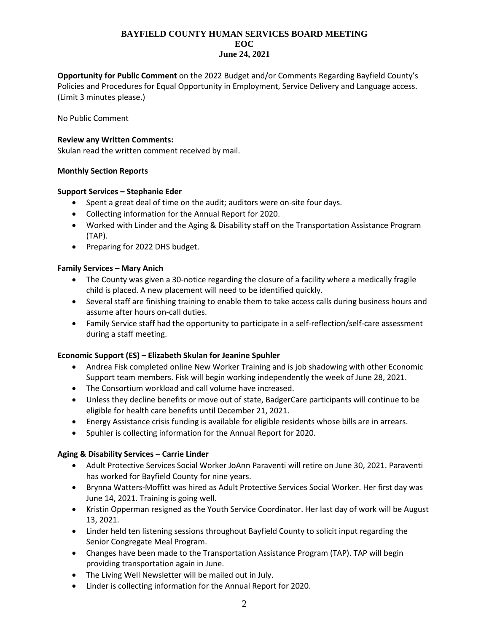**Opportunity for Public Comment** on the 2022 Budget and/or Comments Regarding Bayfield County's Policies and Procedures for Equal Opportunity in Employment, Service Delivery and Language access. (Limit 3 minutes please.)

No Public Comment

## **Review any Written Comments:**

Skulan read the written comment received by mail.

### **Monthly Section Reports**

### **Support Services – Stephanie Eder**

- Spent a great deal of time on the audit; auditors were on-site four days.
- Collecting information for the Annual Report for 2020.
- Worked with Linder and the Aging & Disability staff on the Transportation Assistance Program (TAP).
- Preparing for 2022 DHS budget.

### **Family Services – Mary Anich**

- The County was given a 30-notice regarding the closure of a facility where a medically fragile child is placed. A new placement will need to be identified quickly.
- Several staff are finishing training to enable them to take access calls during business hours and assume after hours on-call duties.
- Family Service staff had the opportunity to participate in a self-reflection/self-care assessment during a staff meeting.

# **Economic Support (ES) – Elizabeth Skulan for Jeanine Spuhler**

- Andrea Fisk completed online New Worker Training and is job shadowing with other Economic Support team members. Fisk will begin working independently the week of June 28, 2021.
- The Consortium workload and call volume have increased.
- Unless they decline benefits or move out of state, BadgerCare participants will continue to be eligible for health care benefits until December 21, 2021.
- Energy Assistance crisis funding is available for eligible residents whose bills are in arrears.
- Spuhler is collecting information for the Annual Report for 2020.

# **Aging & Disability Services – Carrie Linder**

- Adult Protective Services Social Worker JoAnn Paraventi will retire on June 30, 2021. Paraventi has worked for Bayfield County for nine years.
- Brynna Watters-Moffitt was hired as Adult Protective Services Social Worker. Her first day was June 14, 2021. Training is going well.
- Kristin Opperman resigned as the Youth Service Coordinator. Her last day of work will be August 13, 2021.
- Linder held ten listening sessions throughout Bayfield County to solicit input regarding the Senior Congregate Meal Program.
- Changes have been made to the Transportation Assistance Program (TAP). TAP will begin providing transportation again in June.
- The Living Well Newsletter will be mailed out in July.
- Linder is collecting information for the Annual Report for 2020.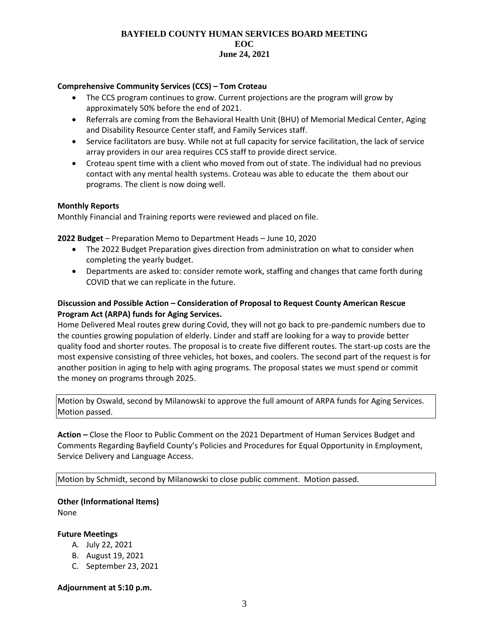## **Comprehensive Community Services (CCS) – Tom Croteau**

- The CCS program continues to grow. Current projections are the program will grow by approximately 50% before the end of 2021.
- Referrals are coming from the Behavioral Health Unit (BHU) of Memorial Medical Center, Aging and Disability Resource Center staff, and Family Services staff.
- Service facilitators are busy. While not at full capacity for service facilitation, the lack of service array providers in our area requires CCS staff to provide direct service.
- Croteau spent time with a client who moved from out of state. The individual had no previous contact with any mental health systems. Croteau was able to educate the them about our programs. The client is now doing well.

### **Monthly Reports**

Monthly Financial and Training reports were reviewed and placed on file.

**2022 Budget** – Preparation Memo to Department Heads – June 10, 2020

- The 2022 Budget Preparation gives direction from administration on what to consider when completing the yearly budget.
- Departments are asked to: consider remote work, staffing and changes that came forth during COVID that we can replicate in the future.

# **Discussion and Possible Action – Consideration of Proposal to Request County American Rescue Program Act (ARPA) funds for Aging Services.**

Home Delivered Meal routes grew during Covid, they will not go back to pre-pandemic numbers due to the counties growing population of elderly. Linder and staff are looking for a way to provide better quality food and shorter routes. The proposal is to create five different routes. The start-up costs are the most expensive consisting of three vehicles, hot boxes, and coolers. The second part of the request is for another position in aging to help with aging programs. The proposal states we must spend or commit the money on programs through 2025.

Motion by Oswald, second by Milanowski to approve the full amount of ARPA funds for Aging Services. Motion passed.

**Action –** Close the Floor to Public Comment on the 2021 Department of Human Services Budget and Comments Regarding Bayfield County's Policies and Procedures for Equal Opportunity in Employment, Service Delivery and Language Access.

Motion by Schmidt, second by Milanowski to close public comment. Motion passed.

# **Other (Informational Items)**

None

#### **Future Meetings**

- A. July 22, 2021
- B. August 19, 2021
- C. September 23, 2021

#### **Adjournment at 5:10 p.m.**